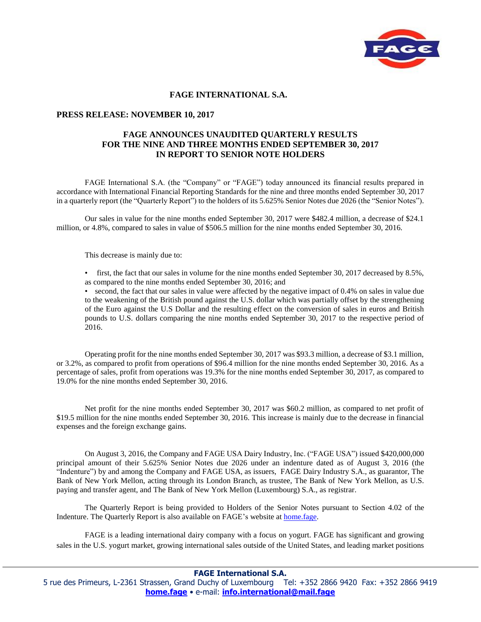

## **FAGE INTERNATIONAL S.A.**

## **PRESS RELEASE: NOVEMBER 10, 2017**

## **FAGE ANNOUNCES UNAUDITED QUARTERLY RESULTS FOR THE NINE AND THREE MONTHS ENDED SEPTEMBER 30, 2017 IN REPORT TO SENIOR NOTE HOLDERS**

FAGE International S.A. (the "Company" or "FAGE") today announced its financial results prepared in accordance with International Financial Reporting Standards for the nine and three months ended September 30, 2017 in a quarterly report (the "Quarterly Report") to the holders of its 5.625% Senior Notes due 2026 (the "Senior Notes").

Our sales in value for the nine months ended September 30, 2017 were \$482.4 million, a decrease of \$24.1 million, or 4.8%, compared to sales in value of \$506.5 million for the nine months ended September 30, 2016.

This decrease is mainly due to:

• first, the fact that our sales in volume for the nine months ended September 30, 2017 decreased by 8.5%, as compared to the nine months ended September 30, 2016; and

• second, the fact that our sales in value were affected by the negative impact of 0.4% on sales in value due to the weakening of the British pound against the U.S. dollar which was partially offset by the strengthening of the Euro against the U.S Dollar and the resulting effect on the conversion of sales in euros and British pounds to U.S. dollars comparing the nine months ended September 30, 2017 to the respective period of 2016.

Operating profit for the nine months ended September 30, 2017 was \$93.3 million, a decrease of \$3.1 million, or 3.2%, as compared to profit from operations of \$96.4 million for the nine months ended September 30, 2016. As a percentage of sales, profit from operations was 19.3% for the nine months ended September 30, 2017, as compared to 19.0% for the nine months ended September 30, 2016.

Net profit for the nine months ended September 30, 2017 was \$60.2 million, as compared to net profit of \$19.5 million for the nine months ended September 30, 2016. This increase is mainly due to the decrease in financial expenses and the foreign exchange gains.

On August 3, 2016, the Company and FAGE USA Dairy Industry, Inc. ("FAGE USA") issued \$420,000,000 principal amount of their 5.625% Senior Notes due 2026 under an indenture dated as of August 3, 2016 (the "Indenture") by and among the Company and FAGE USA, as issuers, FAGE Dairy Industry S.A., as guarantor, The Bank of New York Mellon, acting through its London Branch, as trustee, The Bank of New York Mellon, as U.S. paying and transfer agent, and The Bank of New York Mellon (Luxembourg) S.A., as registrar.

The Quarterly Report is being provided to Holders of the Senior Notes pursuant to Section 4.02 of the Indenture. The Quarterly Report is also available on FAGE's website at home.fage.

FAGE is a leading international dairy company with a focus on yogurt. FAGE has significant and growing sales in the U.S. yogurt market, growing international sales outside of the United States, and leading market positions

**FAGE International S.A.**

5 rue des Primeurs, L-2361 Strassen, Grand Duchy of Luxembourg Tel: +352 2866 9420 Fax: +352 2866 9419 **home.fage** • e-mail: **[info.international@mail.fage](mailto:info.international@mail.fage)**